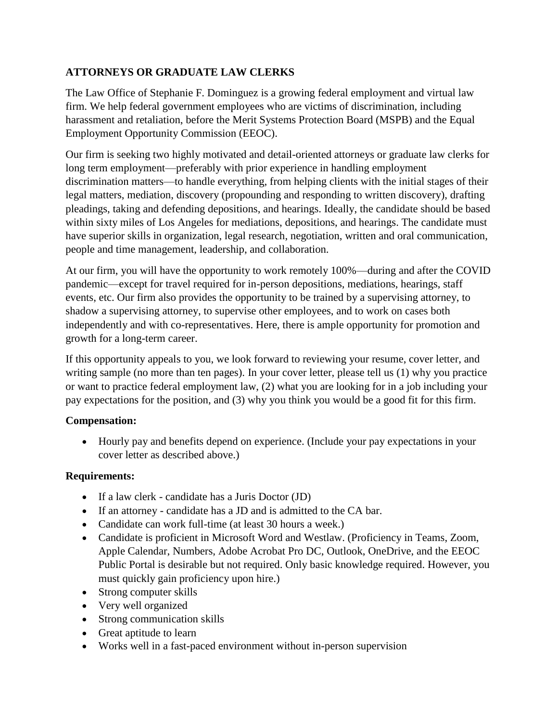# **ATTORNEYS OR GRADUATE LAW CLERKS**

The Law Office of Stephanie F. Dominguez is a growing federal employment and virtual law firm. We help federal government employees who are victims of discrimination, including harassment and retaliation, before the Merit Systems Protection Board (MSPB) and the Equal Employment Opportunity Commission (EEOC).

Our firm is seeking two highly motivated and detail-oriented attorneys or graduate law clerks for long term employment—preferably with prior experience in handling employment discrimination matters—to handle everything, from helping clients with the initial stages of their legal matters, mediation, discovery (propounding and responding to written discovery), drafting pleadings, taking and defending depositions, and hearings. Ideally, the candidate should be based within sixty miles of Los Angeles for mediations, depositions, and hearings. The candidate must have superior skills in organization, legal research, negotiation, written and oral communication, people and time management, leadership, and collaboration.

At our firm, you will have the opportunity to work remotely 100%—during and after the COVID pandemic—except for travel required for in-person depositions, mediations, hearings, staff events, etc. Our firm also provides the opportunity to be trained by a supervising attorney, to shadow a supervising attorney, to supervise other employees, and to work on cases both independently and with co-representatives. Here, there is ample opportunity for promotion and growth for a long-term career.

If this opportunity appeals to you, we look forward to reviewing your resume, cover letter, and writing sample (no more than ten pages). In your cover letter, please tell us (1) why you practice or want to practice federal employment law, (2) what you are looking for in a job including your pay expectations for the position, and (3) why you think you would be a good fit for this firm.

# **Compensation:**

 Hourly pay and benefits depend on experience. (Include your pay expectations in your cover letter as described above.)

# **Requirements:**

- If a law clerk candidate has a Juris Doctor (JD)
- If an attorney candidate has a JD and is admitted to the CA bar.
- Candidate can work full-time (at least 30 hours a week.)
- Candidate is proficient in Microsoft Word and Westlaw. (Proficiency in Teams, Zoom, Apple Calendar, Numbers, Adobe Acrobat Pro DC, Outlook, OneDrive, and the EEOC Public Portal is desirable but not required. Only basic knowledge required. However, you must quickly gain proficiency upon hire.)
- Strong computer skills
- Very well organized
- Strong communication skills
- Great aptitude to learn
- Works well in a fast-paced environment without in-person supervision